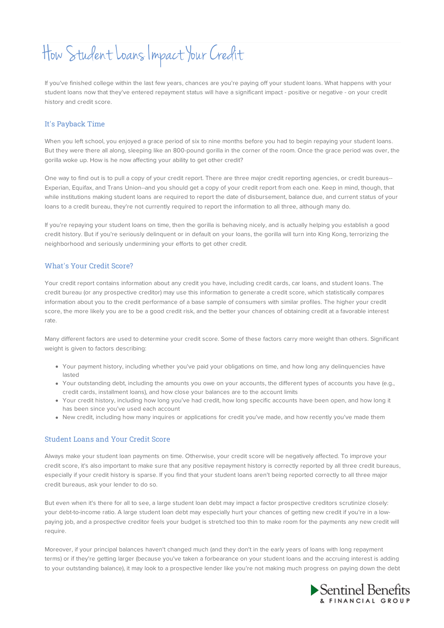# How Student Loans Impact Your Credit

If you've finished college within the last few years, chances are you're paying off your student loans. What happens with your student loans now that they've entered repayment status will have a significant impact - positive or negative - on your credit history and credit score.

## It's Payback Time

When you left school, you enjoyed a grace period of six to nine months before you had to begin repaying your student loans. But they were there all along, sleeping like an 800-pound gorilla in the corner of the room. Once the grace period was over, the gorilla woke up. How is he now affecting your ability to get other credit?

One way to find out is to pull a copy of your credit report. There are three major credit reporting agencies, or credit bureaus-- Experian, Equifax, and Trans Union--and you should get a copy of your credit report from each one. Keep in mind, though, that while institutions making student loans are required to report the date of disbursement, balance due, and current status of your loans to a credit bureau, they're not currently required to report the information to all three, although many do.

If you're repaying your student loans on time, then the gorilla is behaving nicely, and is actually helping you establish a good credit history. But if you're seriously delinquent or in default on your loans, the gorilla will turn into King Kong, terrorizing the neighborhood and seriously undermining your efforts to get other credit.

# What's Your Credit Score?

Your credit report contains information about any credit you have, including credit cards, car loans, and student loans. The credit bureau (or any prospective creditor) may use this information to generate a credit score, which statistically compares information about you to the credit performance of a base sample of consumers with similar profiles. The higher your credit score, the more likely you are to be a good credit risk, and the better your chances of obtaining credit at a favorable interest rate.

Many different factors are used to determine your credit score. Some of these factors carry more weight than others. Significant weight is given to factors describing:

- Your payment history, including whether you've paid your obligations on time, and how long any delinquencies have lasted
- Your outstanding debt, including the amounts you owe on your accounts, the different types of accounts you have (e.g., credit cards, installment loans), and how close your balances are to the account limits
- Your credit history, including how long you've had credit, how long specific accounts have been open, and how long it has been since you've used each account
- New credit, including how many inquires or applications for credit you've made, and how recently you've made them

### Student Loans and Your Credit Score

Always make your student loan payments on time. Otherwise, your credit score will be negatively affected. To improve your credit score, it's also important to make sure that any positive repayment history is correctly reported by all three credit bureaus, especially if your credit history is sparse. If you find that your student loans aren't being reported correctly to all three major credit bureaus, ask your lender to do so.

But even when it's there for all to see, a large student loan debt may impact a factor prospective creditors scrutinize closely: your debt-to-income ratio. A large student loan debt may especially hurt your chances of getting new credit if you're in a lowpaying job, and a prospective creditor feels your budget is stretched too thin to make room for the payments any new credit will require.

Moreover, if your principal balances haven't changed much (and they don't in the early years of loans with long repayment terms) or if they're getting larger (because you've taken a forbearance on your student loans and the accruing interest is adding to your outstanding balance), it may look to a prospective lender like you're not making much progress on paying down the debt